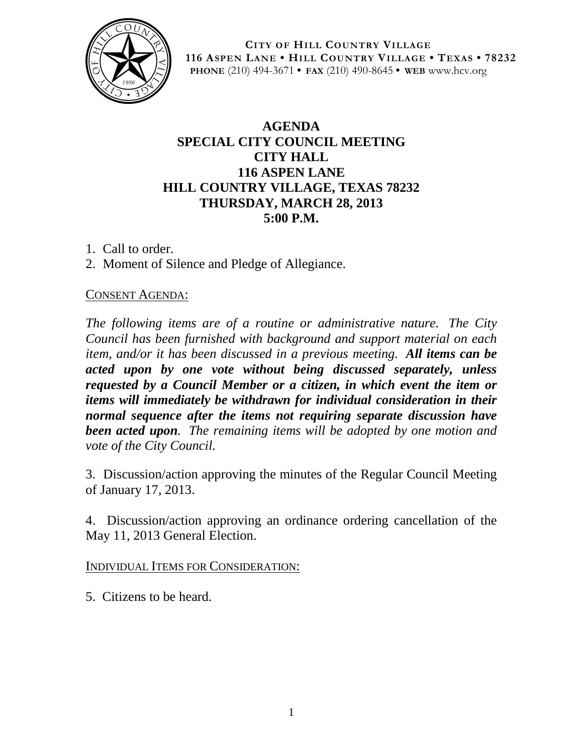

**CITY OF HILL COUNTRY VILLAGE 116 ASPEN LANE • HILL COUNTRY VILLAGE • TEXAS • 78232 PHONE** (210) 494-3671 **• FAX** (210) 490-8645 **• WEB** www.hcv.org

## **AGENDA SPECIAL CITY COUNCIL MEETING CITY HALL 116 ASPEN LANE HILL COUNTRY VILLAGE, TEXAS 78232 THURSDAY, MARCH 28, 2013 5:00 P.M.**

- 1. Call to order.
- 2. Moment of Silence and Pledge of Allegiance.

## CONSENT AGENDA:

*The following items are of a routine or administrative nature. The City Council has been furnished with background and support material on each item, and/or it has been discussed in a previous meeting. All items can be acted upon by one vote without being discussed separately, unless requested by a Council Member or a citizen, in which event the item or items will immediately be withdrawn for individual consideration in their normal sequence after the items not requiring separate discussion have been acted upon. The remaining items will be adopted by one motion and vote of the City Council.*

3. Discussion/action approving the minutes of the Regular Council Meeting of January 17, 2013.

4. Discussion/action approving an ordinance ordering cancellation of the May 11, 2013 General Election.

INDIVIDUAL ITEMS FOR CONSIDERATION:

5. Citizens to be heard.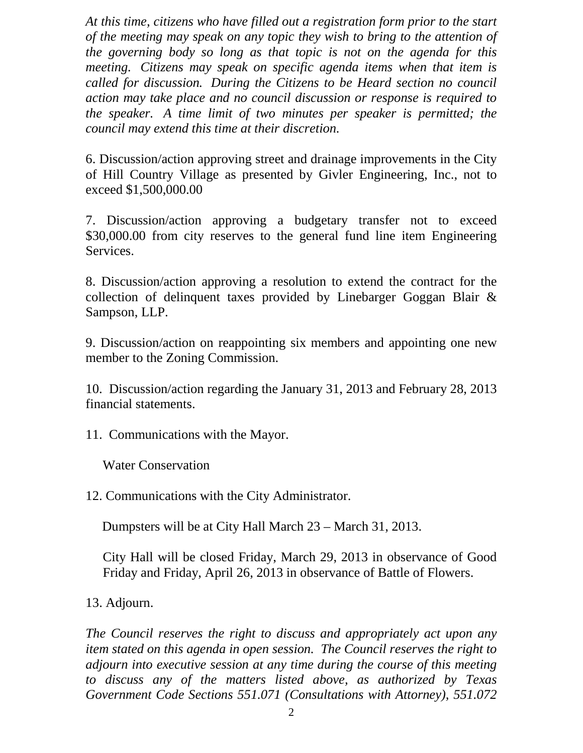*At this time, citizens who have filled out a registration form prior to the start of the meeting may speak on any topic they wish to bring to the attention of the governing body so long as that topic is not on the agenda for this meeting. Citizens may speak on specific agenda items when that item is called for discussion. During the Citizens to be Heard section no council action may take place and no council discussion or response is required to the speaker. A time limit of two minutes per speaker is permitted; the council may extend this time at their discretion.*

6. Discussion/action approving street and drainage improvements in the City of Hill Country Village as presented by Givler Engineering, Inc., not to exceed \$1,500,000.00

7. Discussion/action approving a budgetary transfer not to exceed \$30,000.00 from city reserves to the general fund line item Engineering Services.

8. Discussion/action approving a resolution to extend the contract for the collection of delinquent taxes provided by Linebarger Goggan Blair & Sampson, LLP.

9. Discussion/action on reappointing six members and appointing one new member to the Zoning Commission.

10. Discussion/action regarding the January 31, 2013 and February 28, 2013 financial statements.

11. Communications with the Mayor.

Water Conservation

12. Communications with the City Administrator.

Dumpsters will be at City Hall March 23 – March 31, 2013.

City Hall will be closed Friday, March 29, 2013 in observance of Good Friday and Friday, April 26, 2013 in observance of Battle of Flowers.

13. Adjourn.

*The Council reserves the right to discuss and appropriately act upon any item stated on this agenda in open session. The Council reserves the right to adjourn into executive session at any time during the course of this meeting to discuss any of the matters listed above, as authorized by Texas Government Code Sections 551.071 (Consultations with Attorney), 551.072*